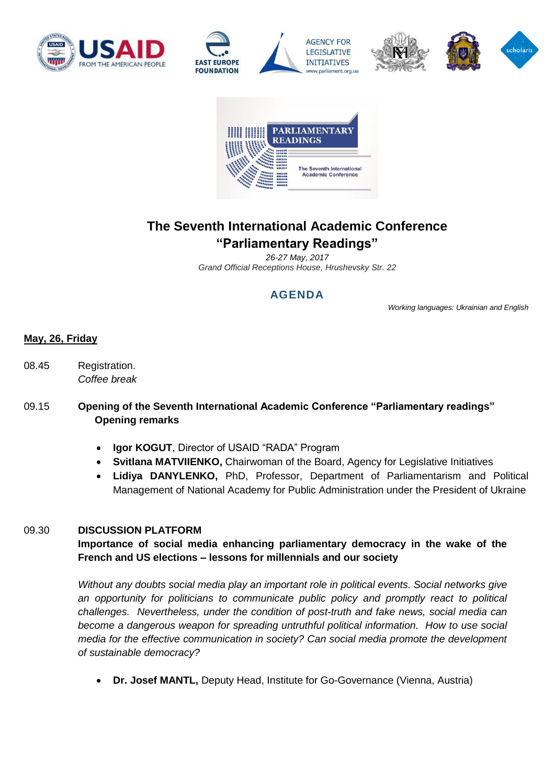









# **The Seventh International Academic Conference "Parliamentary Readings"**

*26-27 May, 2017 Grand Official Receptions House, Hrushevsky Str. 22*

# **AGENDA**

*Working languages: Ukrainian and English*

# **May, 26, Friday**

08.45 Registration. *Coffee break*

# 09.15 **Opening of the Seventh International Academic Conference "Parliamentary readings" Opening remarks**

- **Igor KOGUT**, Director of USAID "RADA" Program
- **Svitlana MATVIIENKO,** Chairwoman of the Board, Agency for Legislative Initiatives
- **Lidiya DANYLENKO,** PhD, Professor, Department of Parliamentarism and Political Management of National Academy for Public Administration under the President of Ukraine

#### 09.30 **DISCUSSION PLATFORM**

# **Importance of social media enhancing parliamentary democracy in the wake of the French and US elections – lessons for millennials and our society**

*Without any doubts social media play an important role in political events. Social networks give an opportunity for politicians to communicate public policy and promptly react to political challenges. Nevertheless, under the condition of post-truth and fake news, social media can become a dangerous weapon for spreading untruthful political information. How to use social media for the effective communication in society? Can social media promote the development of sustainable democracy?*

**Dr. Josef MANTL,** Deputy Head, Institute for Go-Governance (Vienna, Austria)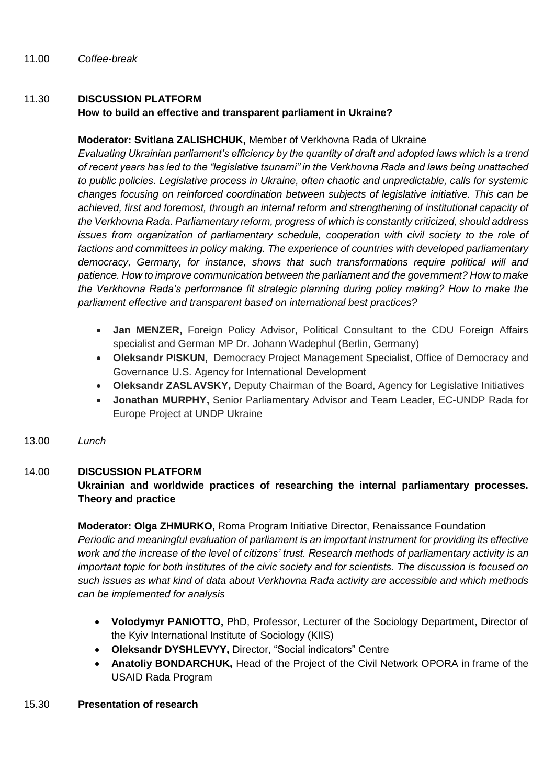# 11.30 **DISCUSSION PLATFORM**

### **How to build an effective and transparent parliament in Ukraine?**

### **Moderator: Svitlana ZALISHCHUK,** Member of Verkhovna Rada of Ukraine

*Evaluating Ukrainian parliament's efficiency by the quantity of draft and adopted laws which is a trend of recent years has led to the "legislative tsunami" in the Verkhovna Rada and laws being unattached to public policies. Legislative process in Ukraine, often chaotic and unpredictable, calls for systemic changes focusing on reinforced coordination between subjects of legislative initiative. This can be achieved, first and foremost, through an internal reform and strengthening of institutional capacity of the Verkhovna Rada. Parliamentary reform, progress of which is constantly criticized, should address issues from organization of parliamentary schedule, cooperation with civil society to the role of factions and committees in policy making. The experience of countries with developed parliamentary democracy, Germany, for instance, shows that such transformations require political will and patience. How to improve communication between the parliament and the government? How to make the Verkhovna Rada's performance fit strategic planning during policy making? How to make the parliament effective and transparent based on international best practices?*

- **Jan MENZER,** Foreign Policy Advisor, Political Consultant to the CDU Foreign Affairs specialist and German MP Dr. Johann Wadephul (Berlin, Germany)
- **Oleksandr PISKUN,** Democracy Project Management Specialist, Office of Democracy and Governance U.S. Agency for International Development
- **Oleksandr ZASLAVSKY,** Deputy Chairman of the Board, Agency for Legislative Initiatives
- **Jonathan MURPHY,** Senior Parliamentary Advisor and Team Leader, EC-UNDP Rada for Europe Project at UNDP Ukraine
- 13.00 *Lunch*

# 14.00 **DISCUSSION PLATFORM**

# **Ukrainian and worldwide practices of researching the internal parliamentary processes. Theory and practice**

# **Moderator: Olga ZHMURKO,** Roma Program Initiative Director, Renaissance Foundation

*Periodic and meaningful evaluation of parliament is an important instrument for providing its effective work and the increase of the level of citizens' trust. Research methods of parliamentary activity is an important topic for both institutes of the civic society and for scientists. The discussion is focused on such issues as what kind of data about Verkhovna Rada activity are accessible and which methods can be implemented for analysis* 

- **Volodymyr PANIOTTO,** PhD, Professor, Lecturer of the Sociology Department, Director of the Kyiv International Institute of Sociology (KIIS)
- **Oleksandr DYSHLEVYY,** Director, "Social indicators" Centre
- **Anatoliy BONDARCHUK,** Head of the Project of the Civil Network OPORA in frame of the USAID Rada Program
- 15.30 **Presentation of research**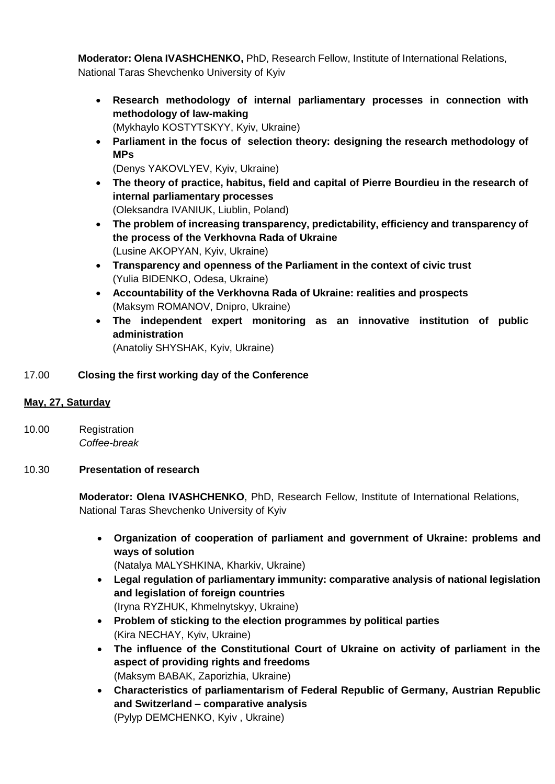**Moderator: Olena IVASHCHENKO,** PhD, Research Fellow, Institute of International Relations,

- National Taras Shevchenko University of Kyiv
	- **Research methodology of internal parliamentary processes in connection with methodology of law-making**
		- (Mykhaylo KOSTYTSKYY, Kyiv, Ukraine)
	- **Parliament in the focus of selection theory: designing the research methodology of MPs**
		- (Denys YAKOVLYEV, Kyiv, Ukraine)
	- **The theory of practice, habitus, field and capital of Pierre Bourdieu in the research of internal parliamentary processes** (Oleksandra IVANIUK, Liublin, Poland)
	- **The problem of increasing transparency, predictability, efficiency and transparency of the process of the Verkhovna Rada of Ukraine** (Lusine AKOPYAN, Kyiv, Ukraine)
	- **Transparency and openness of the Parliament in the context of civic trust** (Yulia BIDENKO, Odesa, Ukraine)
	- **Accountability of the Verkhovna Rada of Ukraine: realities and prospects** (Maksym ROMANOV, Dnipro, Ukraine)
	- **The independent expert monitoring as an innovative institution of public administration** (Anatoliy SHYSHAK, Kyiv, Ukraine)

# 17.00 **Closing the first working day of the Conference**

# **May, 27, Saturday**

10.00 Registration *Coffee-break*

#### 10.30 **Presentation of research**

**Moderator: Olena IVASHCHENKO**, PhD, Research Fellow, Institute of International Relations, National Taras Shevchenko University of Kyiv

 **Organization of cooperation of parliament and government of Ukraine: problems and ways of solution**

(Natalya MALYSHKINA, Kharkiv, Ukraine)

- **Legal regulation of parliamentary immunity: comparative analysis of national legislation and legislation of foreign countries** (Iryna RYZHUK, Khmelnytskyy, Ukraine)
- **Problem of sticking to the election programmes by political parties**  (Kira NECHAY, Kyiv, Ukraine)
- **The influence of the Constitutional Court of Ukraine on activity of parliament in the aspect of providing rights and freedoms** (Maksym BABAK, Zaporizhia, Ukraine)
- **Characteristics of parliamentarism of Federal Republic of Germany, Austrian Republic and Switzerland – comparative analysis** (Pylyp DEMCHENKO, Kyiv , Ukraine)